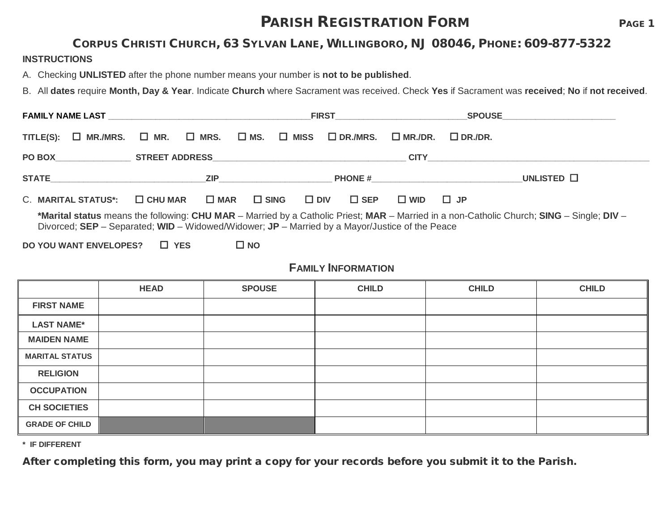## **PARISH REGISTRATION FORM PAGE 1**

#### CORPUS CHRISTI CHURCH, 63 SYLVAN LANE, WILLINGBORO, NJ 08046, PHONE: 609-877-5322

#### **INSTRUCTIONS**

A. Checking **UNLISTED** after the phone number means your number is **not to be published**.

B. All **dates** require **Month, Day & Year**. Indicate **Church** where Sacrament was received. Check **Yes** if Sacrament was **received**; **No** if **not received**.

|                                                                                                                                                                                                                                             |                                                                              |                              | <b>FIRST Example 2018</b>      |                | SPOUSE__________________________ |  |  |
|---------------------------------------------------------------------------------------------------------------------------------------------------------------------------------------------------------------------------------------------|------------------------------------------------------------------------------|------------------------------|--------------------------------|----------------|----------------------------------|--|--|
| TITLE(S):                                                                                                                                                                                                                                   | $\square$ MR./MRS. $\square$ MR. $\square$ MRS. $\square$ MS. $\square$ MISS |                              | $\square$ DR./MRS.             | $\Box$ MR./DR. | $\Box$ DR./DR.                   |  |  |
|                                                                                                                                                                                                                                             |                                                                              |                              |                                |                |                                  |  |  |
|                                                                                                                                                                                                                                             |                                                                              | <b>ZIP Example 2008</b>      |                                |                | UNLISTED $\square$               |  |  |
| C. MARITAL STATUS*:                                                                                                                                                                                                                         | $\square$ CHU MAR                                                            | $\square$ MAR $\square$ SING | $\square$ DIV<br>$\square$ SEP | $\square$ WID  | $\Box$ JP                        |  |  |
| *Marital status means the following: CHU MAR – Married by a Catholic Priest; MAR – Married in a non-Catholic Church; SING – Single; DIV –<br>Divorced; SEP – Separated; WID – Widowed/Widower; JP – Married by a Mayor/Justice of the Peace |                                                                              |                              |                                |                |                                  |  |  |
| DO YOU WANT ENVELOPES?                                                                                                                                                                                                                      | $\Box$ YES                                                                   | $\square$ NO                 |                                |                |                                  |  |  |

### **FAMILY INFORMATION**

|                       | <b>HEAD</b> | <b>SPOUSE</b> | <b>CHILD</b> | <b>CHILD</b> | <b>CHILD</b> |
|-----------------------|-------------|---------------|--------------|--------------|--------------|
| <b>FIRST NAME</b>     |             |               |              |              |              |
| <b>LAST NAME*</b>     |             |               |              |              |              |
| <b>MAIDEN NAME</b>    |             |               |              |              |              |
| <b>MARITAL STATUS</b> |             |               |              |              |              |
| <b>RELIGION</b>       |             |               |              |              |              |
| <b>OCCUPATION</b>     |             |               |              |              |              |
| <b>CH SOCIETIES</b>   |             |               |              |              |              |
| <b>GRADE OF CHILD</b> |             |               |              |              |              |

**\* IF DIFFERENT**

After completing this form, you may print a copy for your records before you submit it to the Parish.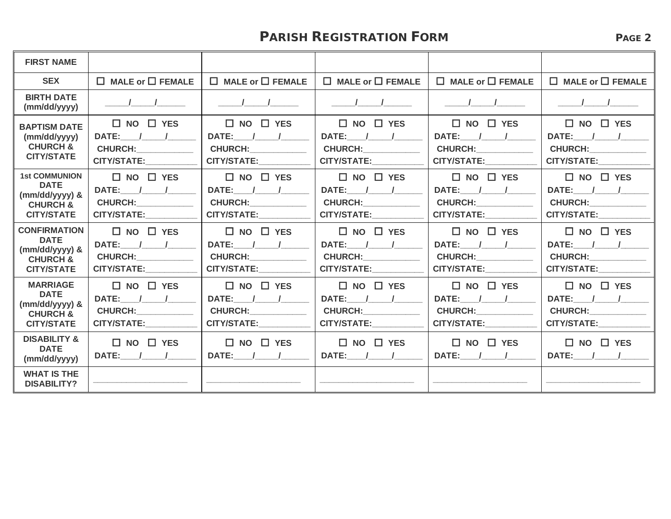## **PARISH REGISTRATION FORM** PAGE 2

| <b>FIRST NAME</b>                                                                                   |                                                                                                                                                                                                                                                                                                    |                                                                                                                                                                                                                                                                                                                     |                                                                                                                                                                                                                                                                                              |                                                                                                                                                                                                                                                                                           |                                                                                                                                                                                                                                                                                                   |
|-----------------------------------------------------------------------------------------------------|----------------------------------------------------------------------------------------------------------------------------------------------------------------------------------------------------------------------------------------------------------------------------------------------------|---------------------------------------------------------------------------------------------------------------------------------------------------------------------------------------------------------------------------------------------------------------------------------------------------------------------|----------------------------------------------------------------------------------------------------------------------------------------------------------------------------------------------------------------------------------------------------------------------------------------------|-------------------------------------------------------------------------------------------------------------------------------------------------------------------------------------------------------------------------------------------------------------------------------------------|---------------------------------------------------------------------------------------------------------------------------------------------------------------------------------------------------------------------------------------------------------------------------------------------------|
| <b>SEX</b>                                                                                          | $\Box$ MALE or $\Box$ FEMALE                                                                                                                                                                                                                                                                       | $\Box$ MALE or $\Box$ FEMALE                                                                                                                                                                                                                                                                                        | $\Box$ MALE or $\Box$ FEMALE                                                                                                                                                                                                                                                                 | $\Box$ MALE or $\Box$ FEMALE                                                                                                                                                                                                                                                              | $\Box$ MALE or $\Box$ FEMALE                                                                                                                                                                                                                                                                      |
| <b>BIRTH DATE</b><br>(mm/dd/yyyy)                                                                   | $\frac{1}{\sqrt{2}}$                                                                                                                                                                                                                                                                               | $\frac{1}{2}$ $\frac{1}{2}$ $\frac{1}{2}$ $\frac{1}{2}$ $\frac{1}{2}$ $\frac{1}{2}$ $\frac{1}{2}$ $\frac{1}{2}$ $\frac{1}{2}$ $\frac{1}{2}$ $\frac{1}{2}$ $\frac{1}{2}$ $\frac{1}{2}$ $\frac{1}{2}$ $\frac{1}{2}$ $\frac{1}{2}$ $\frac{1}{2}$ $\frac{1}{2}$ $\frac{1}{2}$ $\frac{1}{2}$ $\frac{1}{2}$ $\frac{1}{2}$ | $\frac{1}{\sqrt{2}}$                                                                                                                                                                                                                                                                         | $\frac{1}{\sqrt{2}}$                                                                                                                                                                                                                                                                      | $\sqrt{1}$                                                                                                                                                                                                                                                                                        |
| <b>BAPTISM DATE</b><br>(mm/dd/yyyy)<br><b>CHURCH &amp;</b><br><b>CITY/STATE</b>                     | $\Box$ NO $\Box$ YES<br>DATE: / /<br>CHURCH: University Property<br>CITY/STATE: THE STATE OF THE STATE OF THE STATE OF THE STATE OF THE STATE OF THE STATE OF THE STATE OF THE STATE OF THE STATE OF THE STATE OF THE STATE OF THE STATE OF THE STATE OF THE STATE OF THE STATE OF THE STATE OF TH | $\Box$ NO $\Box$ YES<br>DATE: / /<br><b>CHURCH:</b> 2020<br>CITY/STATE:                                                                                                                                                                                                                                             | $\Box$ NO $\Box$ YES<br>DATE: / /<br>CHURCH: The change of the control of the change of the control of the change of the change of the change of the change of the change of the change of the change of the change of the change of the change of the change of th<br>CITY/STATE:__________ | $\Box$ NO $\Box$ YES<br>DATE: / /<br><b>CHURCH: _____________</b><br>CITY/STATE:___________                                                                                                                                                                                               | $\square$ NO $\square$ YES<br>DATE: / /<br>CHURCH: The change of the control of the change of the control of the change of the change of the change of the change of the change of the change of the change of the change of the change of the change of the change of th<br>CITY/STATE:_________ |
| <b>1st COMMUNION</b><br><b>DATE</b><br>$(mm/dd/yyyy)$ &<br><b>CHURCH &amp;</b><br><b>CITY/STATE</b> | $\Box$ NO $\Box$ YES<br>DATE: / /<br>CHURCH: _________<br>CITY/STATE:                                                                                                                                                                                                                              | $\Box$ NO $\Box$ YES<br>DATE: / /<br><b>CHURCH:</b> 2004<br>CITY/STATE:___________                                                                                                                                                                                                                                  | $\Box$ NO $\Box$ YES<br>DATE: $/$ /<br>CHURCH: University<br><b>CITY/STATE:</b>                                                                                                                                                                                                              | $\Box$ NO $\Box$ YES<br>DATE: / /<br><b>CHURCH:</b> _________<br>CITY/STATE:                                                                                                                                                                                                              | $\Box$ NO $\Box$ YES<br>DATE: / /<br>CHURCH: The change of the control of the change of the control of the change of the change of the change of the change of the change of the change of the change of the change of the change of the change of the change of th<br>CITY/STATE:___________     |
| <b>CONFIRMATION</b><br><b>DATE</b><br>(mm/dd/yyyy) &<br><b>CHURCH &amp;</b><br><b>CITY/STATE</b>    | $\Box$ NO $\Box$ YES<br>DATE: / /<br><b>CHURCH:_____________</b><br>CITY/STATE: THE STATE OF THE STATE OF THE STATE OF THE STATE OF THE STATE OF THE STATE OF THE STATE OF THE STATE OF THE STATE OF THE STATE OF THE STATE OF THE STATE OF THE STATE OF THE STATE OF THE STATE OF THE STATE OF TH | $\Box$ NO $\Box$ YES<br>DATE: / /<br>CHURCH: The contract of the contract of the contract of the contract of the contract of the contract of the contract of the contract of the contract of the contract of the contract of the contract of the contract of the co<br>CITY/STATE:__________                        | $\Box$ NO $\Box$ YES<br>DATE: / /<br>CHURCH: The control of the control of the control of the control of the control of the control of the control of the control of the control of the control of the control of the control of the control of the control of the<br><b>CITY/STATE:</b>     | $\Box$ NO $\Box$ YES<br>DATE: $/$ /<br>CHURCH: The change of the control of the change of the control of the change of the change of the change of the change of the change of the change of the change of the change of the change of the change of the change of th<br>CITY/STATE: 2000 | $\Box$ NO $\Box$ YES<br>DATE: / /<br>CHURCH: The change of the control of the change of the control of the control of the control of the control of the control of the control of the control of the control of the control of the control of the control of the co<br>CITY/STATE:___________     |
| <b>MARRIAGE</b><br><b>DATE</b><br>$(mm/dd/yyyy)$ &<br><b>CHURCH &amp;</b><br><b>CITY/STATE</b>      | $\Box$ NO $\Box$ YES<br>DATE: / /<br>CHURCH: The contract of the contract of the contract of the contract of the contract of the contract of the contract of the contract of the contract of the contract of the contract of the contract of the contract of the co<br>CITY/STATE:                 | $\Box$ NO $\Box$ YES<br>DATE: / /<br>CHURCH: The contract of the contract of the contract of the contract of the contract of the contract of the contract of the contract of the contract of the contract of the contract of the contract of the contract of the co<br>CITY/STATE:                                  | $\Box$ NO $\Box$ YES<br>DATE: / /<br><b>CHURCH:</b> 2020<br><b>CITY/STATE:</b>                                                                                                                                                                                                               | $\Box$ NO $\Box$ YES<br>CHURCH: The change of the control of the change of the control of the change of the change of the change of the change of the change of the change of the change of the change of the change of the change of the change of th<br>CITY/STATE:                     | $\Box$ NO $\Box$ YES<br>DATE: / /<br>CHURCH: The change of the control of the change of the control of the change of the change of the change of the change of the change of the change of the change of the change of the change of the change of the change of th<br>CITY/STATE: 2000           |
| <b>DISABILITY &amp;</b><br><b>DATE</b><br>(mm/dd/yyyy)                                              | $\Box$ NO $\Box$ YES<br>DATE: / /                                                                                                                                                                                                                                                                  | $\Box$ NO $\Box$ YES<br>DATE: / /                                                                                                                                                                                                                                                                                   | $\Box$ NO $\Box$ YES<br>DATE: / /                                                                                                                                                                                                                                                            | $\Box$ NO $\Box$ YES<br>DATE: $1/$                                                                                                                                                                                                                                                        | $\Box$ NO $\Box$ YES<br>DATE: / /                                                                                                                                                                                                                                                                 |
| <b>WHAT IS THE</b><br><b>DISABILITY?</b>                                                            |                                                                                                                                                                                                                                                                                                    |                                                                                                                                                                                                                                                                                                                     |                                                                                                                                                                                                                                                                                              |                                                                                                                                                                                                                                                                                           |                                                                                                                                                                                                                                                                                                   |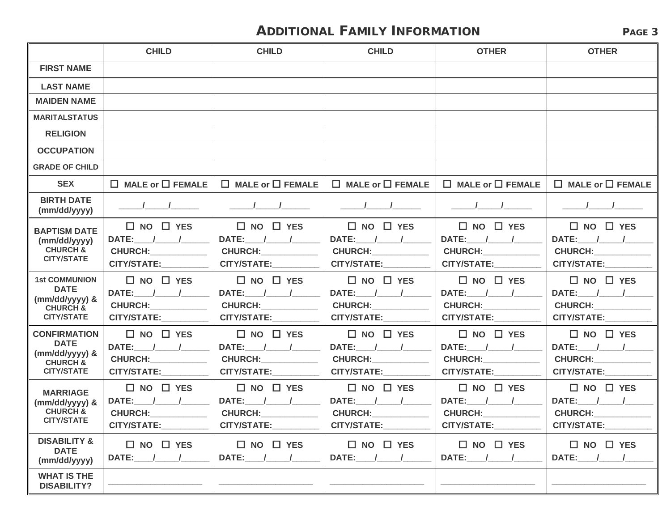## ADDITIONAL FAMILY INFORMATION PAGE 3

|                                                                                                   | <b>CHILD</b><br><b>CHILD</b><br><b>CHILD</b><br><b>OTHER</b>                   |                                                                                                                                                                                                                                                                                    |                                                                                     | <b>OTHER</b>                                                                                                                                                                                                                                                                               |                                                                                                                                                                                                                                                                                    |  |
|---------------------------------------------------------------------------------------------------|--------------------------------------------------------------------------------|------------------------------------------------------------------------------------------------------------------------------------------------------------------------------------------------------------------------------------------------------------------------------------|-------------------------------------------------------------------------------------|--------------------------------------------------------------------------------------------------------------------------------------------------------------------------------------------------------------------------------------------------------------------------------------------|------------------------------------------------------------------------------------------------------------------------------------------------------------------------------------------------------------------------------------------------------------------------------------|--|
| <b>FIRST NAME</b>                                                                                 |                                                                                |                                                                                                                                                                                                                                                                                    |                                                                                     |                                                                                                                                                                                                                                                                                            |                                                                                                                                                                                                                                                                                    |  |
| <b>LAST NAME</b>                                                                                  |                                                                                |                                                                                                                                                                                                                                                                                    |                                                                                     |                                                                                                                                                                                                                                                                                            |                                                                                                                                                                                                                                                                                    |  |
| <b>MAIDEN NAME</b>                                                                                |                                                                                |                                                                                                                                                                                                                                                                                    |                                                                                     |                                                                                                                                                                                                                                                                                            |                                                                                                                                                                                                                                                                                    |  |
| <b>MARITALSTATUS</b>                                                                              |                                                                                |                                                                                                                                                                                                                                                                                    |                                                                                     |                                                                                                                                                                                                                                                                                            |                                                                                                                                                                                                                                                                                    |  |
| <b>RELIGION</b>                                                                                   |                                                                                |                                                                                                                                                                                                                                                                                    |                                                                                     |                                                                                                                                                                                                                                                                                            |                                                                                                                                                                                                                                                                                    |  |
| <b>OCCUPATION</b>                                                                                 |                                                                                |                                                                                                                                                                                                                                                                                    |                                                                                     |                                                                                                                                                                                                                                                                                            |                                                                                                                                                                                                                                                                                    |  |
| <b>GRADE OF CHILD</b>                                                                             |                                                                                |                                                                                                                                                                                                                                                                                    |                                                                                     |                                                                                                                                                                                                                                                                                            |                                                                                                                                                                                                                                                                                    |  |
| <b>SEX</b>                                                                                        | $\Box$ MALE or $\Box$ FEMALE                                                   | $\Box$ MALE or $\Box$ FEMALE                                                                                                                                                                                                                                                       | $\Box$ MALE or $\Box$ FEMALE                                                        | $\Box$ MALE or $\Box$ FEMALE                                                                                                                                                                                                                                                               | $\Box$ MALE or $\Box$ FEMALE                                                                                                                                                                                                                                                       |  |
| <b>BIRTH DATE</b><br>(mm/dd/yyyy)                                                                 |                                                                                |                                                                                                                                                                                                                                                                                    |                                                                                     | $\frac{1}{2}$                                                                                                                                                                                                                                                                              |                                                                                                                                                                                                                                                                                    |  |
| <b>BAPTISM DATE</b><br>(mm/dd/yyyy)<br><b>CHURCH &amp;</b><br><b>CITY/STATE</b>                   | $\Box$ NO $\Box$ YES<br>DATE: / /<br>CHURCH: CHURCH<br>CITY/STATE:_________    | $\Box$ NO $\Box$ YES<br>DATE: $\frac{1}{\sqrt{2}}$<br>CITY/STATE:                                                                                                                                                                                                                  | $\Box$ NO $\Box$ YES<br>DATE: $/$ /<br><b>CHURCH:</b> 2020<br>CITY/STATE:__________ | $\Box$ NO $\Box$ YES<br>DATE: / /<br><b>CHURCH:</b> 2020<br>CITY/STATE:_________                                                                                                                                                                                                           | $\Box$ NO $\Box$ YES<br>DATE: $/$ /<br><b>CHURCH:</b><br>CITY/STATE:                                                                                                                                                                                                               |  |
| <b>1st COMMUNION</b><br><b>DATE</b><br>(mm/dd/yyyy) &<br><b>CHURCH &amp;</b><br><b>CITY/STATE</b> | $\Box$ NO $\Box$ YES<br>DATE: / /<br><b>CHURCH:</b> 2020<br><b>CITY/STATE:</b> | $\square$ NO $\square$ YES<br>DATE: $\frac{1}{\sqrt{2}}$<br><b>CHURCH:</b> 2020<br>CITY/STATE:                                                                                                                                                                                     | $\Box$ NO $\Box$ YES<br>DATE: $1/$<br><b>CHURCH:</b> 2020<br>CITY/STATE: 2000       | $\Box$ NO $\Box$ YES<br>DATE: / /<br><b>CHURCH:</b> 2020<br>CITY/STATE:                                                                                                                                                                                                                    | $\Box$ NO $\Box$ YES<br>DATE: / /<br>CHURCH: The change of the control of the change of the control of the change of the control of the change of the change of the change of the change of the change of the change of the change of the change of the change of t<br>CITY/STATE: |  |
| <b>CONFIRMATION</b><br><b>DATE</b><br>(mm/dd/yyyy) &<br><b>CHURCH &amp;</b><br><b>CITY/STATE</b>  | $\Box$ NO $\Box$ YES<br>DATE: / /<br><b>CHURCH:</b> 2020<br>CITY/STATE:        | $\square$ NO $\square$ YES<br>DATE: / /<br><b>CHURCH:</b> 2004<br><b>CITY/STATE:</b>                                                                                                                                                                                               | $\Box$ NO $\Box$ YES<br>DATE: / /<br><b>CHURCH:</b> 2004<br>CITY/STATE:             | $\Box$ NO $\Box$ YES<br>DATE: $1/$<br><b>CHURCH:</b> 2020<br>CITY/STATE:                                                                                                                                                                                                                   | $\Box$ NO $\Box$ YES<br>DATE: / /<br>CHURCH: CHURCH<br><b>CITY/STATE:</b>                                                                                                                                                                                                          |  |
| <b>MARRIAGE</b><br>(mm/dd/yyyy) &<br><b>CHURCH &amp;</b><br><b>CITY/STATE</b>                     | $\Box$ NO $\Box$ YES<br>DATE: / /<br><b>CHURCH:</b> 2020<br>CITY/STATE:        | $\Box$ NO $\Box$ YES<br>DATE: / /<br>CHURCH: The contract of the contract of the contract of the contract of the contract of the contract of the contract of the contract of the contract of the contract of the contract of the contract of the contract of the co<br>CITY/STATE: | $\Box$ NO $\Box$ YES<br>DATE: / /<br><b>CHURCH:</b> 2004<br>CITY/STATE:__________   | $\Box$ NO $\Box$ YES<br>DATE: / /<br>CHURCH: The contract of the contract of the contract of the contract of the contract of the contract of the contract of the contract of the contract of the contract of the contract of the contract of the contract of the co<br>CITY/STATE:________ | $\Box$ NO $\Box$ YES<br>DATE: / /<br>CHURCH: The change of the control of the control of the control of the control of the control of the control of the control of the control of the control of the control of the control of the control of the control of the c<br>CITY/STATE: |  |
| <b>DISABILITY &amp;</b><br><b>DATE</b><br>(mm/dd/yyyy)                                            | $\Box$ NO $\Box$ YES<br><b>DATE:</b>                                           | $\square$ NO $\square$ YES<br><b>DATE:</b>                                                                                                                                                                                                                                         | $\Box$ NO $\Box$ YES<br>DATE: /                                                     | $\square$ NO $\square$ YES<br>DATE: /                                                                                                                                                                                                                                                      | $\Box$ NO $\Box$ YES<br>DATE: /                                                                                                                                                                                                                                                    |  |
| <b>WHAT IS THE</b><br><b>DISABILITY?</b>                                                          |                                                                                |                                                                                                                                                                                                                                                                                    |                                                                                     |                                                                                                                                                                                                                                                                                            |                                                                                                                                                                                                                                                                                    |  |